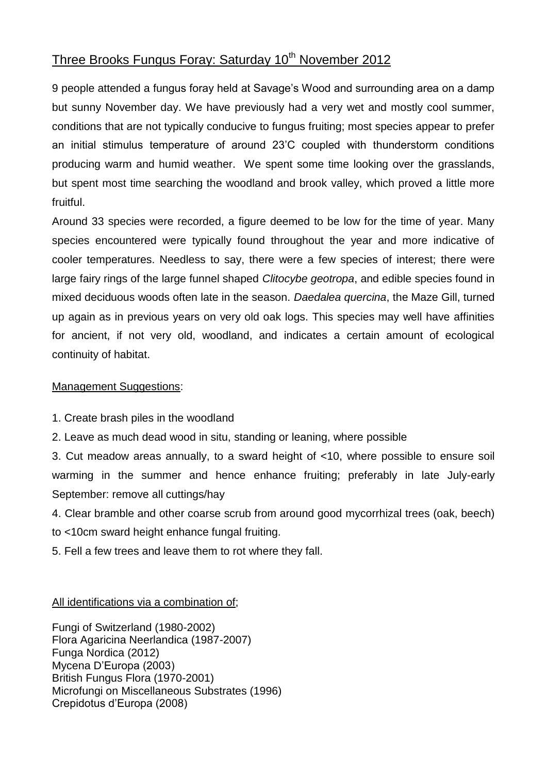## Three Brooks Fungus Foray: Saturday 10<sup>th</sup> November 2012

9 people attended a fungus foray held at Savage's Wood and surrounding area on a damp but sunny November day. We have previously had a very wet and mostly cool summer, conditions that are not typically conducive to fungus fruiting; most species appear to prefer an initial stimulus temperature of around 23'C coupled with thunderstorm conditions producing warm and humid weather. We spent some time looking over the grasslands, but spent most time searching the woodland and brook valley, which proved a little more fruitful.

Around 33 species were recorded, a figure deemed to be low for the time of year. Many species encountered were typically found throughout the year and more indicative of cooler temperatures. Needless to say, there were a few species of interest; there were large fairy rings of the large funnel shaped *Clitocybe geotropa*, and edible species found in mixed deciduous woods often late in the season. *Daedalea quercina*, the Maze Gill, turned up again as in previous years on very old oak logs. This species may well have affinities for ancient, if not very old, woodland, and indicates a certain amount of ecological continuity of habitat.

## Management Suggestions:

- 1. Create brash piles in the woodland
- 2. Leave as much dead wood in situ, standing or leaning, where possible

3. Cut meadow areas annually, to a sward height of <10, where possible to ensure soil warming in the summer and hence enhance fruiting; preferably in late July-early September: remove all cuttings/hay

4. Clear bramble and other coarse scrub from around good mycorrhizal trees (oak, beech) to <10cm sward height enhance fungal fruiting.

5. Fell a few trees and leave them to rot where they fall.

All identifications via a combination of;

Fungi of Switzerland (1980-2002) Flora Agaricina Neerlandica (1987-2007) Funga Nordica (2012) Mycena D'Europa (2003) British Fungus Flora (1970-2001) Microfungi on Miscellaneous Substrates (1996) Crepidotus d'Europa (2008)